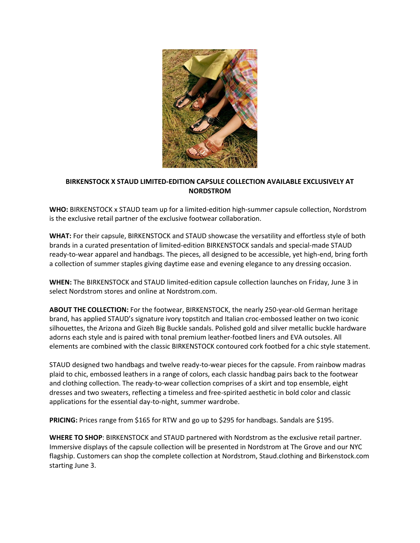

## **BIRKENSTOCK X STAUD LIMITED-EDITION CAPSULE COLLECTION AVAILABLE EXCLUSIVELY AT NORDSTROM**

**WHO:** BIRKENSTOCK x STAUD team up for a limited-edition high-summer capsule collection, Nordstrom is the exclusive retail partner of the exclusive footwear collaboration.

**WHAT:** For their capsule, BIRKENSTOCK and STAUD showcase the versatility and effortless style of both brands in a curated presentation of limited-edition BIRKENSTOCK sandals and special-made STAUD ready-to-wear apparel and handbags. The pieces, all designed to be accessible, yet high-end, bring forth a collection of summer staples giving daytime ease and evening elegance to any dressing occasion.

**WHEN:** The BIRKENSTOCK and STAUD limited-edition capsule collection launches on Friday, June 3 in select Nordstrom stores and online at Nordstrom.com.

**ABOUT THE COLLECTION:** For the footwear, BIRKENSTOCK, the nearly 250-year-old German heritage brand, has applied STAUD's signature ivory topstitch and Italian croc-embossed leather on two iconic silhouettes, the Arizona and Gizeh Big Buckle sandals. Polished gold and silver metallic buckle hardware adorns each style and is paired with tonal premium leather-footbed liners and EVA outsoles. All elements are combined with the classic BIRKENSTOCK contoured cork footbed for a chic style statement.

STAUD designed two handbags and twelve ready-to-wear pieces for the capsule. From rainbow madras plaid to chic, embossed leathers in a range of colors, each classic handbag pairs back to the footwear and clothing collection. The ready-to-wear collection comprises of a skirt and top ensemble, eight dresses and two sweaters, reflecting a timeless and free-spirited aesthetic in bold color and classic applications for the essential day-to-night, summer wardrobe.

**PRICING:** Prices range from \$165 for RTW and go up to \$295 for handbags. Sandals are \$195.

**WHERE TO SHOP**: BIRKENSTOCK and STAUD partnered with Nordstrom as the exclusive retail partner. Immersive displays of the capsule collection will be presented in Nordstrom at The Grove and our NYC flagship. Customers can shop the complete collection at Nordstrom, Staud.clothing and Birkenstock.com starting June 3.